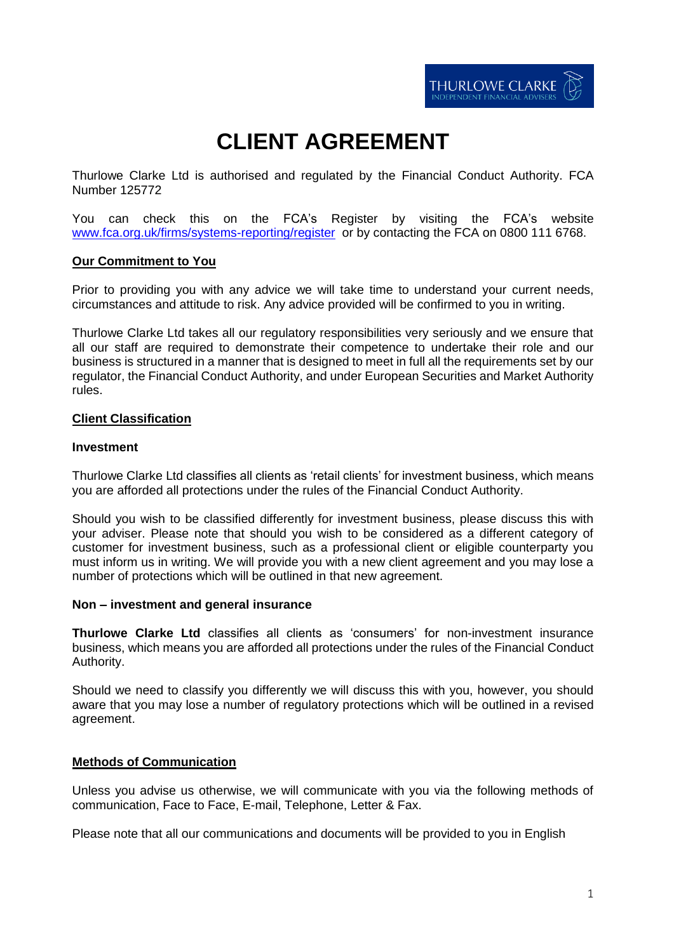# **CLIENT AGREEMENT**

Thurlowe Clarke Ltd is authorised and regulated by the Financial Conduct Authority. FCA Number 125772

You can check this on the FCA's Register by visiting the FCA's website [www.fca.org.uk/firms/systems-reporting/register](http://www.fca.org.uk/firms/systems-reporting/register) or by contacting the FCA on 0800 111 6768.

# **Our Commitment to You**

Prior to providing you with any advice we will take time to understand your current needs, circumstances and attitude to risk. Any advice provided will be confirmed to you in writing.

Thurlowe Clarke Ltd takes all our regulatory responsibilities very seriously and we ensure that all our staff are required to demonstrate their competence to undertake their role and our business is structured in a manner that is designed to meet in full all the requirements set by our regulator, the Financial Conduct Authority, and under European Securities and Market Authority rules.

# **Client Classification**

### **Investment**

Thurlowe Clarke Ltd classifies all clients as 'retail clients' for investment business, which means you are afforded all protections under the rules of the Financial Conduct Authority.

Should you wish to be classified differently for investment business, please discuss this with your adviser. Please note that should you wish to be considered as a different category of customer for investment business, such as a professional client or eligible counterparty you must inform us in writing. We will provide you with a new client agreement and you may lose a number of protections which will be outlined in that new agreement.

### **Non – investment and general insurance**

**Thurlowe Clarke Ltd** classifies all clients as 'consumers' for non-investment insurance business, which means you are afforded all protections under the rules of the Financial Conduct Authority.

Should we need to classify you differently we will discuss this with you, however, you should aware that you may lose a number of regulatory protections which will be outlined in a revised agreement.

### **Methods of Communication**

Unless you advise us otherwise, we will communicate with you via the following methods of communication, Face to Face, E-mail, Telephone, Letter & Fax.

Please note that all our communications and documents will be provided to you in English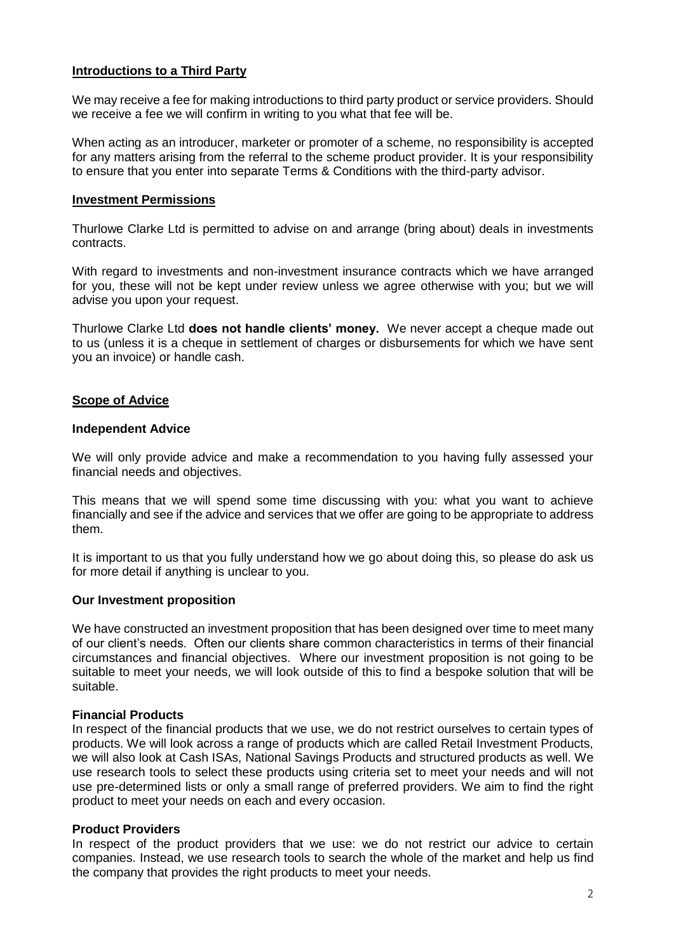# **Introductions to a Third Party**

We may receive a fee for making introductions to third party product or service providers. Should we receive a fee we will confirm in writing to you what that fee will be.

When acting as an introducer, marketer or promoter of a scheme, no responsibility is accepted for any matters arising from the referral to the scheme product provider. It is your responsibility to ensure that you enter into separate Terms & Conditions with the third-party advisor.

# **Investment Permissions**

Thurlowe Clarke Ltd is permitted to advise on and arrange (bring about) deals in investments contracts.

With regard to investments and non-investment insurance contracts which we have arranged for you, these will not be kept under review unless we agree otherwise with you; but we will advise you upon your request.

Thurlowe Clarke Ltd **does not handle clients' money.** We never accept a cheque made out to us (unless it is a cheque in settlement of charges or disbursements for which we have sent you an invoice) or handle cash.

# **Scope of Advice**

# **Independent Advice**

We will only provide advice and make a recommendation to you having fully assessed your financial needs and objectives.

This means that we will spend some time discussing with you: what you want to achieve financially and see if the advice and services that we offer are going to be appropriate to address them.

It is important to us that you fully understand how we go about doing this, so please do ask us for more detail if anything is unclear to you.

# **Our Investment proposition**

We have constructed an investment proposition that has been designed over time to meet many of our client's needs. Often our clients share common characteristics in terms of their financial circumstances and financial objectives. Where our investment proposition is not going to be suitable to meet your needs, we will look outside of this to find a bespoke solution that will be suitable.

# **Financial Products**

In respect of the financial products that we use, we do not restrict ourselves to certain types of products. We will look across a range of products which are called Retail Investment Products, we will also look at Cash ISAs, National Savings Products and structured products as well. We use research tools to select these products using criteria set to meet your needs and will not use pre-determined lists or only a small range of preferred providers. We aim to find the right product to meet your needs on each and every occasion.

# **Product Providers**

In respect of the product providers that we use: we do not restrict our advice to certain companies. Instead, we use research tools to search the whole of the market and help us find the company that provides the right products to meet your needs.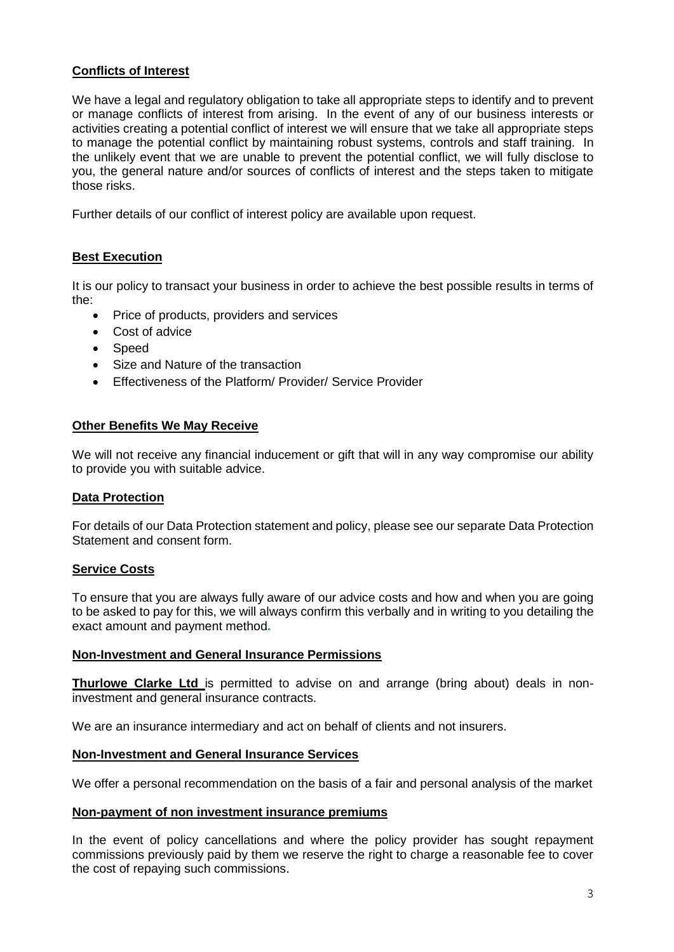# **Conflicts of Interest**

We have a legal and regulatory obligation to take all appropriate steps to identify and to prevent or manage conflicts of interest from arising. In the event of any of our business interests or activities creating a potential conflict of interest we will ensure that we take all appropriate steps to manage the potential conflict by maintaining robust systems, controls and staff training. In the unlikely event that we are unable to prevent the potential conflict, we will fully disclose to you, the general nature and/or sources of conflicts of interest and the steps taken to mitigate those risks.

Further details of our conflict of interest policy are available upon request.

# **Best Execution**

It is our policy to transact your business in order to achieve the best possible results in terms of the:

- Price of products, providers and services
- Cost of advice
- Speed
- Size and Nature of the transaction
- Effectiveness of the Platform/ Provider/ Service Provider

# **Other Benefits We May Receive**

We will not receive any financial inducement or gift that will in any way compromise our ability to provide you with suitable advice.

# **Data Protection**

For details of our Data Protection statement and policy, please see our separate Data Protection Statement and consent form.

# **Service Costs**

To ensure that you are always fully aware of our advice costs and how and when you are going to be asked to pay for this, we will always confirm this verbally and in writing to you detailing the exact amount and payment method**.** 

### **Non-Investment and General Insurance Permissions**

**Thurlowe Clarke Ltd** is permitted to advise on and arrange (bring about) deals in noninvestment and general insurance contracts.

We are an insurance intermediary and act on behalf of clients and not insurers.

### **Non-Investment and General Insurance Services**

We offer a personal recommendation on the basis of a fair and personal analysis of the market

### **Non-payment of non investment insurance premiums**

In the event of policy cancellations and where the policy provider has sought repayment commissions previously paid by them we reserve the right to charge a reasonable fee to cover the cost of repaying such commissions.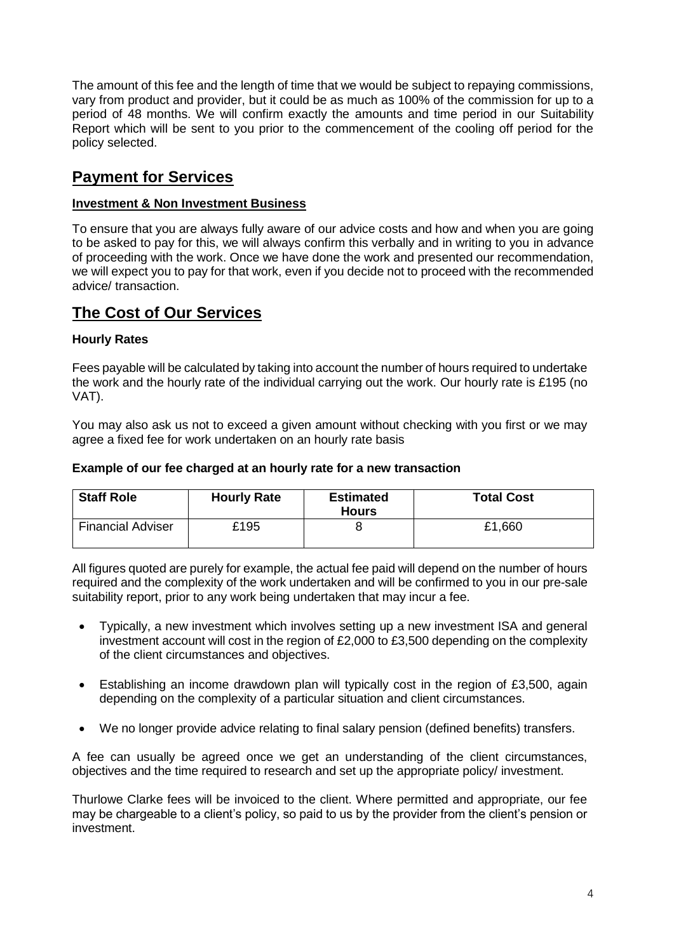The amount of this fee and the length of time that we would be subject to repaying commissions, vary from product and provider, but it could be as much as 100% of the commission for up to a period of 48 months. We will confirm exactly the amounts and time period in our Suitability Report which will be sent to you prior to the commencement of the cooling off period for the policy selected.

# **Payment for Services**

# **Investment & Non Investment Business**

To ensure that you are always fully aware of our advice costs and how and when you are going to be asked to pay for this, we will always confirm this verbally and in writing to you in advance of proceeding with the work. Once we have done the work and presented our recommendation, we will expect you to pay for that work, even if you decide not to proceed with the recommended advice/ transaction.

# **The Cost of Our Services**

# **Hourly Rates**

Fees payable will be calculated by taking into account the number of hours required to undertake the work and the hourly rate of the individual carrying out the work. Our hourly rate is £195 (no VAT).

You may also ask us not to exceed a given amount without checking with you first or we may agree a fixed fee for work undertaken on an hourly rate basis

# **Example of our fee charged at an hourly rate for a new transaction**

| <b>Staff Role</b>        | <b>Hourly Rate</b> | <b>Estimated</b><br><b>Hours</b> | <b>Total Cost</b> |
|--------------------------|--------------------|----------------------------------|-------------------|
| <b>Financial Adviser</b> | £195               |                                  | £1,660            |

All figures quoted are purely for example, the actual fee paid will depend on the number of hours required and the complexity of the work undertaken and will be confirmed to you in our pre-sale suitability report, prior to any work being undertaken that may incur a fee.

- Typically, a new investment which involves setting up a new investment ISA and general investment account will cost in the region of £2,000 to £3,500 depending on the complexity of the client circumstances and objectives.
- Establishing an income drawdown plan will typically cost in the region of £3,500, again depending on the complexity of a particular situation and client circumstances.
- We no longer provide advice relating to final salary pension (defined benefits) transfers.

A fee can usually be agreed once we get an understanding of the client circumstances, objectives and the time required to research and set up the appropriate policy/ investment.

Thurlowe Clarke fees will be invoiced to the client. Where permitted and appropriate, our fee may be chargeable to a client's policy, so paid to us by the provider from the client's pension or investment.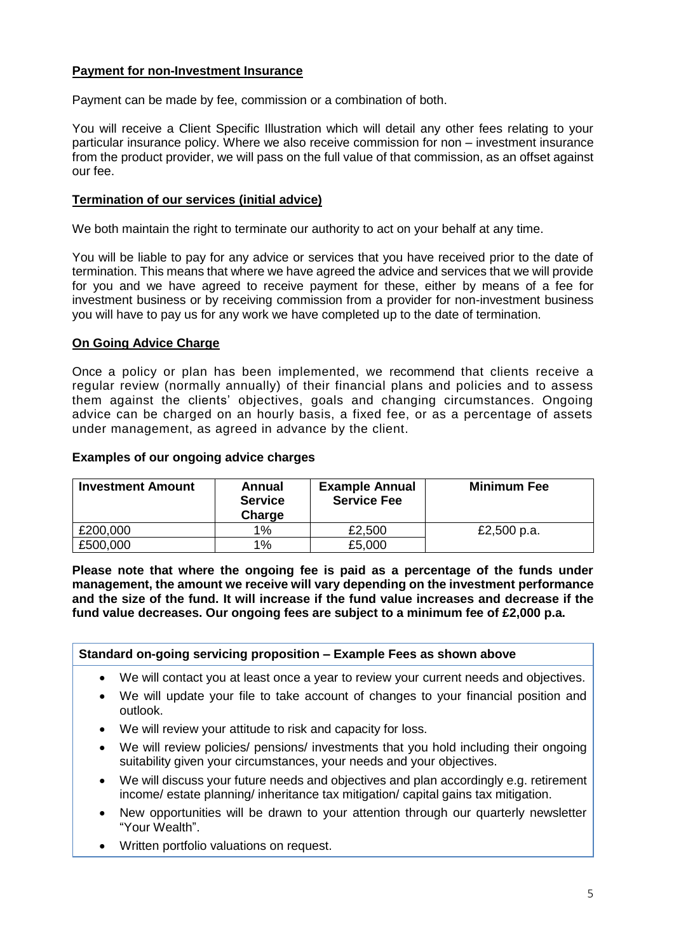# **Payment for non-Investment Insurance**

Payment can be made by fee, commission or a combination of both.

You will receive a Client Specific Illustration which will detail any other fees relating to your particular insurance policy. Where we also receive commission for non – investment insurance from the product provider, we will pass on the full value of that commission, as an offset against our fee.

# **Termination of our services (initial advice)**

We both maintain the right to terminate our authority to act on your behalf at any time.

You will be liable to pay for any advice or services that you have received prior to the date of termination. This means that where we have agreed the advice and services that we will provide for you and we have agreed to receive payment for these, either by means of a fee for investment business or by receiving commission from a provider for non-investment business you will have to pay us for any work we have completed up to the date of termination.

# **On Going Advice Charge**

Once a policy or plan has been implemented, we recommend that clients receive a regular review (normally annually) of their financial plans and policies and to assess them against the clients' objectives, goals and changing circumstances. Ongoing advice can be charged on an hourly basis, a fixed fee, or as a percentage of assets under management, as agreed in advance by the client.

# **Examples of our ongoing advice charges**

| <b>Investment Amount</b> | Annual<br><b>Service</b><br>Charge | <b>Example Annual</b><br><b>Service Fee</b> | <b>Minimum Fee</b> |
|--------------------------|------------------------------------|---------------------------------------------|--------------------|
| £200,000                 | 1%                                 | £2,500                                      | £2,500 p.a.        |
| £500,000                 | 1%                                 | £5,000                                      |                    |

**Please note that where the ongoing fee is paid as a percentage of the funds under management, the amount we receive will vary depending on the investment performance and the size of the fund. It will increase if the fund value increases and decrease if the fund value decreases. Our ongoing fees are subject to a minimum fee of £2,000 p.a.**

# **Standard on-going servicing proposition – Example Fees as shown above**

- We will contact you at least once a year to review your current needs and objectives.
- We will update your file to take account of changes to your financial position and outlook.
- We will review your attitude to risk and capacity for loss.
- We will review policies/ pensions/ investments that you hold including their ongoing suitability given your circumstances, your needs and your objectives.
- We will discuss your future needs and objectives and plan accordingly e.g. retirement income/ estate planning/ inheritance tax mitigation/ capital gains tax mitigation.
- New opportunities will be drawn to your attention through our quarterly newsletter "Your Wealth".
- Written portfolio valuations on request.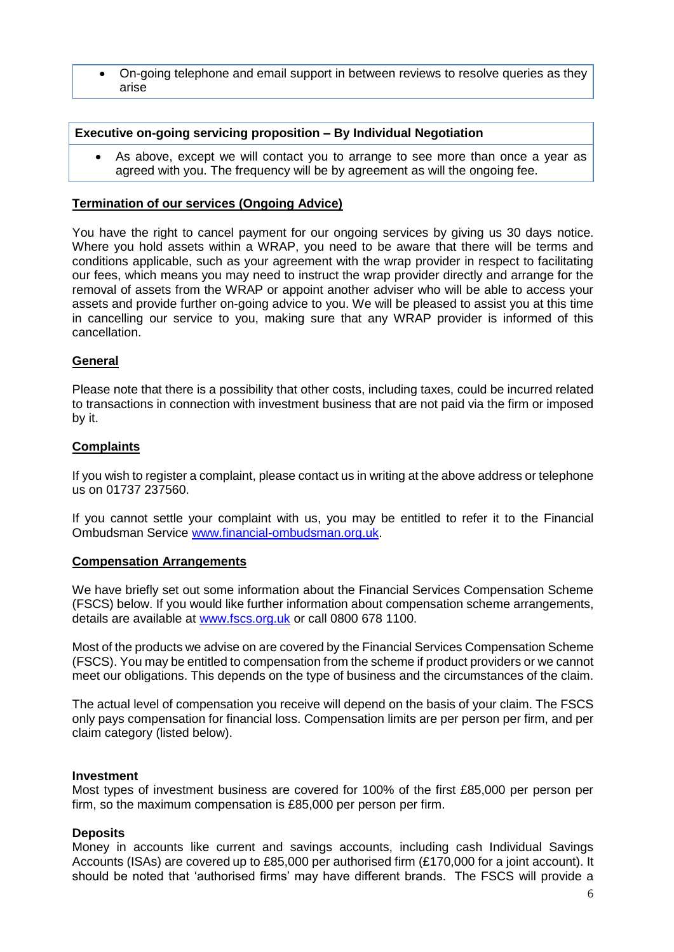On-going telephone and email support in between reviews to resolve queries as they arise

# **Executive on-going servicing proposition – By Individual Negotiation**

 As above, except we will contact you to arrange to see more than once a year as agreed with you. The frequency will be by agreement as will the ongoing fee.

# **Termination of our services (Ongoing Advice)**

You have the right to cancel payment for our ongoing services by giving us 30 days notice. Where you hold assets within a WRAP, you need to be aware that there will be terms and conditions applicable, such as your agreement with the wrap provider in respect to facilitating our fees, which means you may need to instruct the wrap provider directly and arrange for the removal of assets from the WRAP or appoint another adviser who will be able to access your assets and provide further on-going advice to you. We will be pleased to assist you at this time in cancelling our service to you, making sure that any WRAP provider is informed of this cancellation.

# **General**

Please note that there is a possibility that other costs, including taxes, could be incurred related to transactions in connection with investment business that are not paid via the firm or imposed by it.

# **Complaints**

If you wish to register a complaint, please contact us in writing at the above address or telephone us on 01737 237560.

If you cannot settle your complaint with us, you may be entitled to refer it to the Financial Ombudsman Service [www.financial-ombudsman.org.uk.](http://www.financial-ombudsman.org.uk/)

### **Compensation Arrangements**

We have briefly set out some information about the Financial Services Compensation Scheme (FSCS) below. If you would like further information about compensation scheme arrangements, details are available at [www.fscs.org.uk](http://www.fscs.org.uk/) or call 0800 678 1100.

Most of the products we advise on are covered by the Financial Services Compensation Scheme (FSCS). You may be entitled to compensation from the scheme if product providers or we cannot meet our obligations. This depends on the type of business and the circumstances of the claim.

The actual level of compensation you receive will depend on the basis of your claim. The FSCS only pays compensation for financial loss. Compensation limits are per person per firm, and per claim category (listed below).

#### **Investment**

Most types of investment business are covered for 100% of the first £85,000 per person per firm, so the maximum compensation is £85,000 per person per firm.

### **Deposits**

Money in accounts like current and savings accounts, including cash Individual Savings Accounts (ISAs) are covered up to £85,000 per authorised firm (£170,000 for a joint account). It should be noted that 'authorised firms' may have different brands. The FSCS will provide a